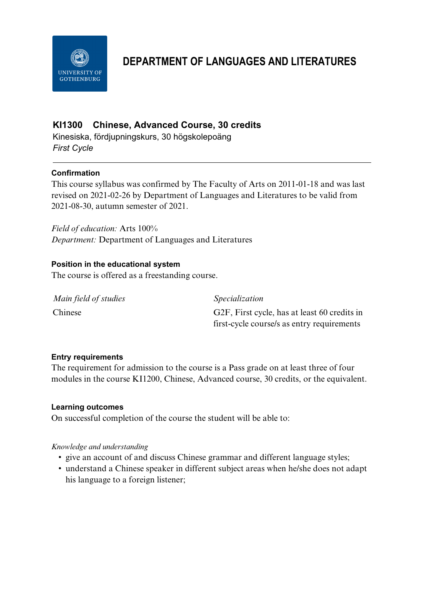

# **DEPARTMENT OF LANGUAGES AND LITERATURES**

# **KI1300 Chinese, Advanced Course, 30 credits**

Kinesiska, fördjupningskurs, 30 högskolepoäng *First Cycle*

### **Confirmation**

This course syllabus was confirmed by The Faculty of Arts on 2011-01-18 and was last revised on 2021-02-26 by Department of Languages and Literatures to be valid from 2021-08-30, autumn semester of 2021.

*Field of education:* Arts 100% *Department:* Department of Languages and Literatures

### **Position in the educational system**

The course is offered as a freestanding course.

| Main field of studies | <i>Specialization</i>                        |
|-----------------------|----------------------------------------------|
| Chinese               | G2F, First cycle, has at least 60 credits in |
|                       | first-cycle course/s as entry requirements   |

### **Entry requirements**

The requirement for admission to the course is a Pass grade on at least three of four modules in the course KI1200, Chinese, Advanced course, 30 credits, or the equivalent.

#### **Learning outcomes**

On successful completion of the course the student will be able to:

#### *Knowledge and understanding*

- give an account of and discuss Chinese grammar and different language styles;
- understand a Chinese speaker in different subject areas when he/she does not adapt his language to a foreign listener;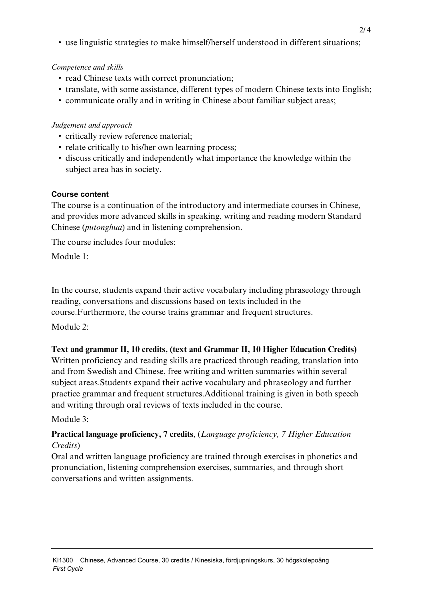• use linguistic strategies to make himself/herself understood in different situations;

### *Competence and skills*

- read Chinese texts with correct pronunciation;
- translate, with some assistance, different types of modern Chinese texts into English;
- communicate orally and in writing in Chinese about familiar subject areas;

## *Judgement and approach*

- critically review reference material;
- relate critically to his/her own learning process;
- discuss critically and independently what importance the knowledge within the subject area has in society.

### **Course content**

The course is a continuation of the introductory and intermediate courses in Chinese, and provides more advanced skills in speaking, writing and reading modern Standard Chinese (*putonghua*) and in listening comprehension.

The course includes four modules:

Module 1:

In the course, students expand their active vocabulary including phraseology through reading, conversations and discussions based on texts included in the course.Furthermore, the course trains grammar and frequent structures.

Module 2.

# **Text and grammar II, 10 credits, (text and Grammar II, 10 Higher Education Credits)**

Written proficiency and reading skills are practiced through reading, translation into and from Swedish and Chinese, free writing and written summaries within several subject areas.Students expand their active vocabulary and phraseology and further practice grammar and frequent structures.Additional training is given in both speech and writing through oral reviews of texts included in the course.

# Module 3:

# **Practical language proficiency, 7 credits**, (*Language proficiency, 7 Higher Education Credits*)

Oral and written language proficiency are trained through exercises in phonetics and pronunciation, listening comprehension exercises, summaries, and through short conversations and written assignments.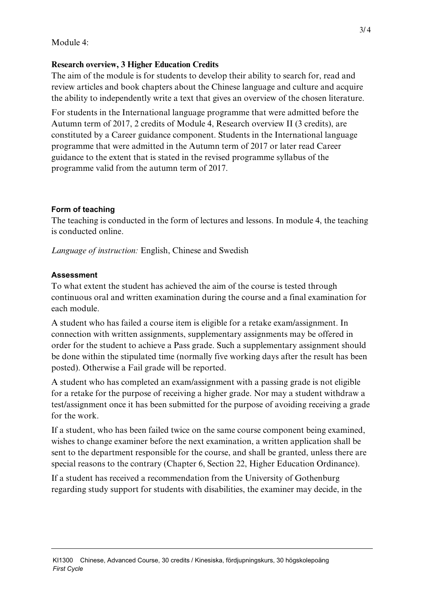### Module 4:

### **Research overview, 3 Higher Education Credits**

The aim of the module is for students to develop their ability to search for, read and review articles and book chapters about the Chinese language and culture and acquire the ability to independently write a text that gives an overview of the chosen literature.

For students in the International language programme that were admitted before the Autumn term of 2017, 2 credits of Module 4, Research overview II (3 credits), are constituted by a Career guidance component. Students in the International language programme that were admitted in the Autumn term of 2017 or later read Career guidance to the extent that is stated in the revised programme syllabus of the programme valid from the autumn term of 2017.

### **Form of teaching**

The teaching is conducted in the form of lectures and lessons. In module 4, the teaching is conducted online.

*Language of instruction:* English, Chinese and Swedish

### **Assessment**

To what extent the student has achieved the aim of the course is tested through continuous oral and written examination during the course and a final examination for each module.

A student who has failed a course item is eligible for a retake exam/assignment. In connection with written assignments, supplementary assignments may be offered in order for the student to achieve a Pass grade. Such a supplementary assignment should be done within the stipulated time (normally five working days after the result has been posted). Otherwise a Fail grade will be reported.

A student who has completed an exam/assignment with a passing grade is not eligible for a retake for the purpose of receiving a higher grade. Nor may a student withdraw a test/assignment once it has been submitted for the purpose of avoiding receiving a grade for the work.

If a student, who has been failed twice on the same course component being examined, wishes to change examiner before the next examination, a written application shall be sent to the department responsible for the course, and shall be granted, unless there are special reasons to the contrary (Chapter 6, Section 22, Higher Education Ordinance).

If a student has received a recommendation from the University of Gothenburg regarding study support for students with disabilities, the examiner may decide, in the